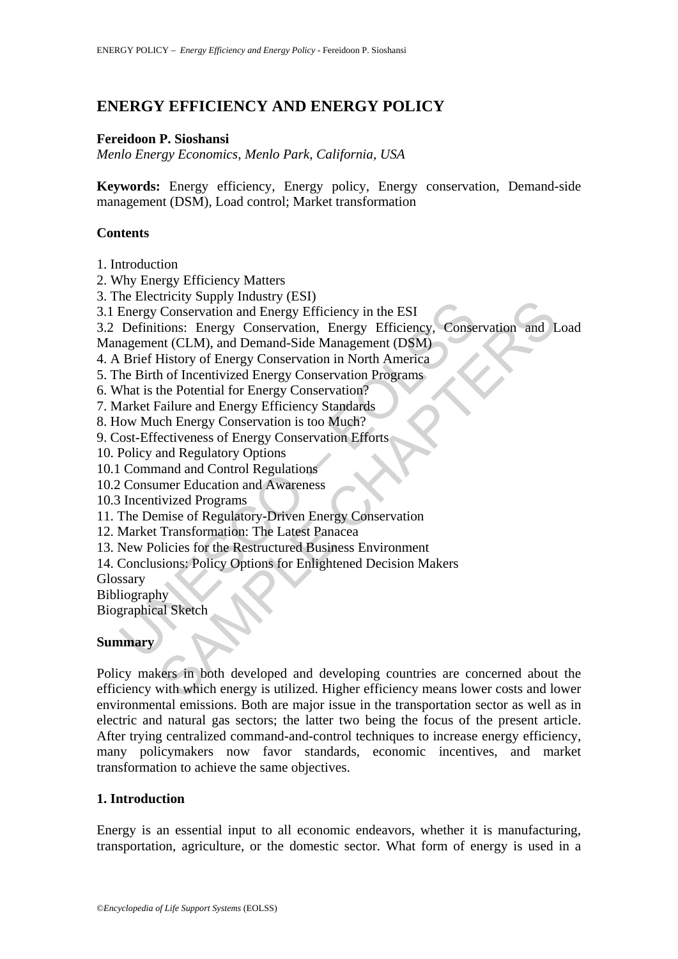# **ENERGY EFFICIENCY AND ENERGY POLICY**

#### **Fereidoon P. Sioshansi**

*Menlo Energy Economics, Menlo Park, California, USA* 

**Keywords:** Energy efficiency, Energy policy, Energy conservation, Demand-side management (DSM), Load control; Market transformation

### **Contents**

1. Introduction

2. Why Energy Efficiency Matters

3. The Electricity Supply Industry (ESI)

3.1 Energy Conservation and Energy Efficiency in the ESI

Energy Conservation and Energy Efficiency in the ESI<br>Energy Conservation and Energy Efficiency in the ESI<br>Definitions: Energy Conservation, Energy Efficiency, Conse<br>agement (CLM), and Demand-Side Management (DSM)<br>he Birth 3.2 Definitions: Energy Conservation, Energy Efficiency, Conservation and Load Management (CLM), and Demand-Side Management (DSM)

4. A Brief History of Energy Conservation in North America

5. The Birth of Incentivized Energy Conservation Programs

6. What is the Potential for Energy Conservation?

7. Market Failure and Energy Efficiency Standards

8. How Much Energy Conservation is too Much?

9. Cost-Effectiveness of Energy Conservation Efforts

10. Policy and Regulatory Options

10.1 Command and Control Regulations

10.2 Consumer Education and Awareness

10.3 Incentivized Programs

11. The Demise of Regulatory-Driven Energy Conservation

12. Market Transformation: The Latest Panacea

13. New Policies for the Restructured Business Environment

14. Conclusions: Policy Options for Enlightened Decision Makers

Glossary

Bibliography

Biographical Sketch

## **Summary**

Theiry of purply measury (LS),<br>Conservation and Energy Efficiency in the ESI<br>tions: Energy Conservation, Energy Efficiency, Conservation and I<br>mt (CLM), and Demand-Side Management (DSM)<br>History of Energy Conservation in No Policy makers in both developed and developing countries are concerned about the efficiency with which energy is utilized. Higher efficiency means lower costs and lower environmental emissions. Both are major issue in the transportation sector as well as in electric and natural gas sectors; the latter two being the focus of the present article. After trying centralized command-and-control techniques to increase energy efficiency, many policymakers now favor standards, economic incentives, and market transformation to achieve the same objectives.

#### **1. Introduction**

Energy is an essential input to all economic endeavors, whether it is manufacturing, transportation, agriculture, or the domestic sector. What form of energy is used in a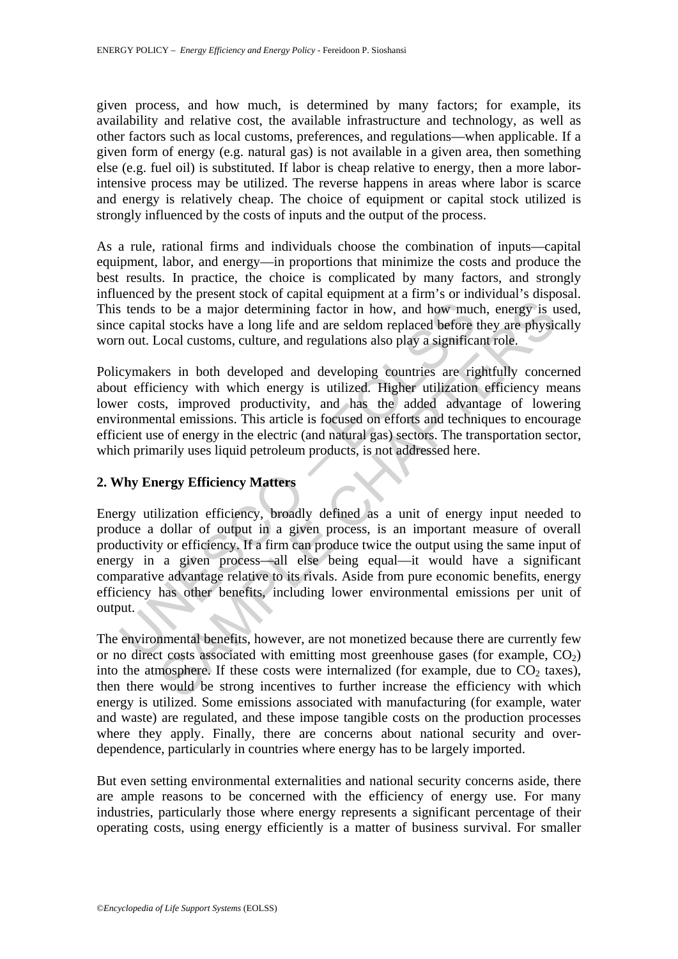given process, and how much, is determined by many factors; for example, its availability and relative cost, the available infrastructure and technology, as well as other factors such as local customs, preferences, and regulations—when applicable. If a given form of energy (e.g. natural gas) is not available in a given area, then something else (e.g. fuel oil) is substituted. If labor is cheap relative to energy, then a more laborintensive process may be utilized. The reverse happens in areas where labor is scarce and energy is relatively cheap. The choice of equipment or capital stock utilized is strongly influenced by the costs of inputs and the output of the process.

As a rule, rational firms and individuals choose the combination of inputs—capital equipment, labor, and energy—in proportions that minimize the costs and produce the best results. In practice, the choice is complicated by many factors, and strongly influenced by the present stock of capital equipment at a firm's or individual's disposal. This tends to be a major determining factor in how, and how much, energy is used, since capital stocks have a long life and are seldom replaced before they are physically worn out. Local customs, culture, and regulations also play a significant role.

Policymakers in both developed and developing countries are rightfully concerned about efficiency with which energy is utilized. Higher utilization efficiency means lower costs, improved productivity, and has the added advantage of lowering environmental emissions. This article is focused on efforts and techniques to encourage efficient use of energy in the electric (and natural gas) sectors. The transportation sector, which primarily uses liquid petroleum products, is not addressed here.

# **2. Why Energy Efficiency Matters**

is tends to be a major determining factor in how, and how muce capital stocks have a long life and are seldom replaced before in out. Local customs, culture, and regulations also play a significal cymakers in both develope to be a major determining factor in how, and how much, energy is u<br>to be a major determining factor in how, and how much, energy is u<br>al stocks have a long life and are seldom replaced before they are physic<br>ocal customs, Energy utilization efficiency, broadly defined as a unit of energy input needed to produce a dollar of output in a given process, is an important measure of overall productivity or efficiency. If a firm can produce twice the output using the same input of energy in a given process—all else being equal—it would have a significant comparative advantage relative to its rivals. Aside from pure economic benefits, energy efficiency has other benefits, including lower environmental emissions per unit of output.

The environmental benefits, however, are not monetized because there are currently few or no direct costs associated with emitting most greenhouse gases (for example,  $CO<sub>2</sub>$ ) into the atmosphere. If these costs were internalized (for example, due to  $CO<sub>2</sub>$  taxes), then there would be strong incentives to further increase the efficiency with which energy is utilized. Some emissions associated with manufacturing (for example, water and waste) are regulated, and these impose tangible costs on the production processes where they apply. Finally, there are concerns about national security and overdependence, particularly in countries where energy has to be largely imported.

But even setting environmental externalities and national security concerns aside, there are ample reasons to be concerned with the efficiency of energy use. For many industries, particularly those where energy represents a significant percentage of their operating costs, using energy efficiently is a matter of business survival. For smaller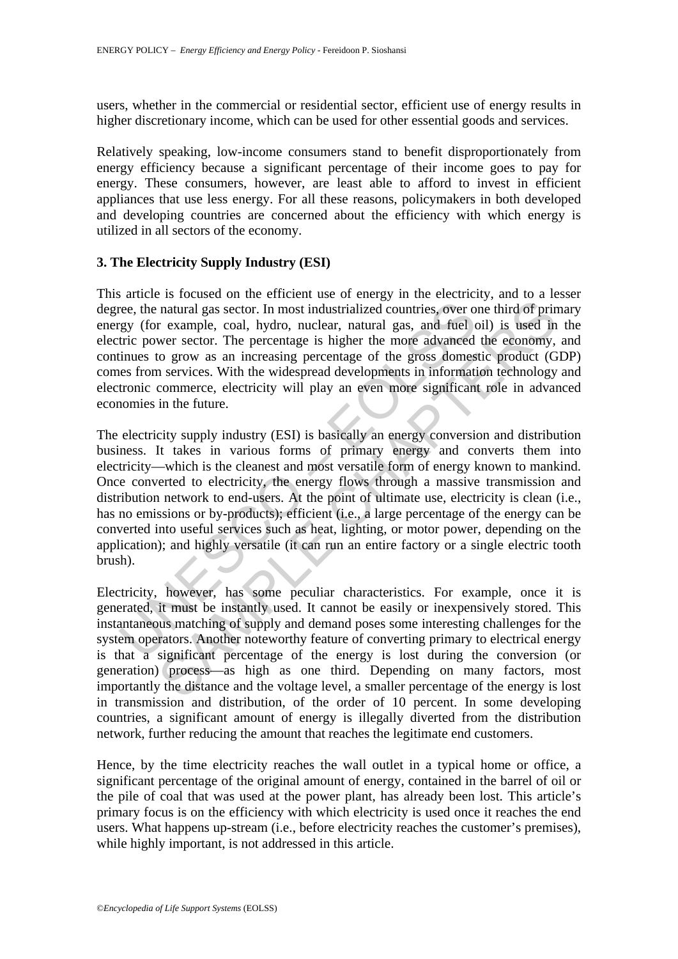users, whether in the commercial or residential sector, efficient use of energy results in higher discretionary income, which can be used for other essential goods and services.

Relatively speaking, low-income consumers stand to benefit disproportionately from energy efficiency because a significant percentage of their income goes to pay for energy. These consumers, however, are least able to afford to invest in efficient appliances that use less energy. For all these reasons, policymakers in both developed and developing countries are concerned about the efficiency with which energy is utilized in all sectors of the economy.

#### **3. The Electricity Supply Industry (ESI)**

This article is focused on the efficient use of energy in the electricity, and to a lesser degree, the natural gas sector. In most industrialized countries, over one third of primary energy (for example, coal, hydro, nuclear, natural gas, and fuel oil) is used in the electric power sector. The percentage is higher the more advanced the economy, and continues to grow as an increasing percentage of the gross domestic product (GDP) comes from services. With the widespread developments in information technology and electronic commerce, electricity will play an even more significant role in advanced economies in the future.

ree, the natural gas sector. In most industrialized countries, over o<br>cy (for example, coal, hydro, nuclear, natural gas, and fuel (<br>tric power sector. The percentage is higher the more advanced<br>innus to grow as an increas natural gas sector. In most industrialized countries, over one third of principal pass sector. In most industrialized countries, over one third of principal example, coal, hydro, nuclear, natural gas, and fuel oil) is used The electricity supply industry (ESI) is basically an energy conversion and distribution business. It takes in various forms of primary energy and converts them into electricity—which is the cleanest and most versatile form of energy known to mankind. Once converted to electricity, the energy flows through a massive transmission and distribution network to end-users. At the point of ultimate use, electricity is clean (i.e., has no emissions or by-products); efficient (i.e., a large percentage of the energy can be converted into useful services such as heat, lighting, or motor power, depending on the application); and highly versatile (it can run an entire factory or a single electric tooth brush).

Electricity, however, has some peculiar characteristics. For example, once it is generated, it must be instantly used. It cannot be easily or inexpensively stored. This instantaneous matching of supply and demand poses some interesting challenges for the system operators. Another noteworthy feature of converting primary to electrical energy is that a significant percentage of the energy is lost during the conversion (or generation) process—as high as one third. Depending on many factors, most importantly the distance and the voltage level, a smaller percentage of the energy is lost in transmission and distribution, of the order of 10 percent. In some developing countries, a significant amount of energy is illegally diverted from the distribution network, further reducing the amount that reaches the legitimate end customers.

Hence, by the time electricity reaches the wall outlet in a typical home or office, a significant percentage of the original amount of energy, contained in the barrel of oil or the pile of coal that was used at the power plant, has already been lost. This article's primary focus is on the efficiency with which electricity is used once it reaches the end users. What happens up-stream (i.e., before electricity reaches the customer's premises), while highly important, is not addressed in this article.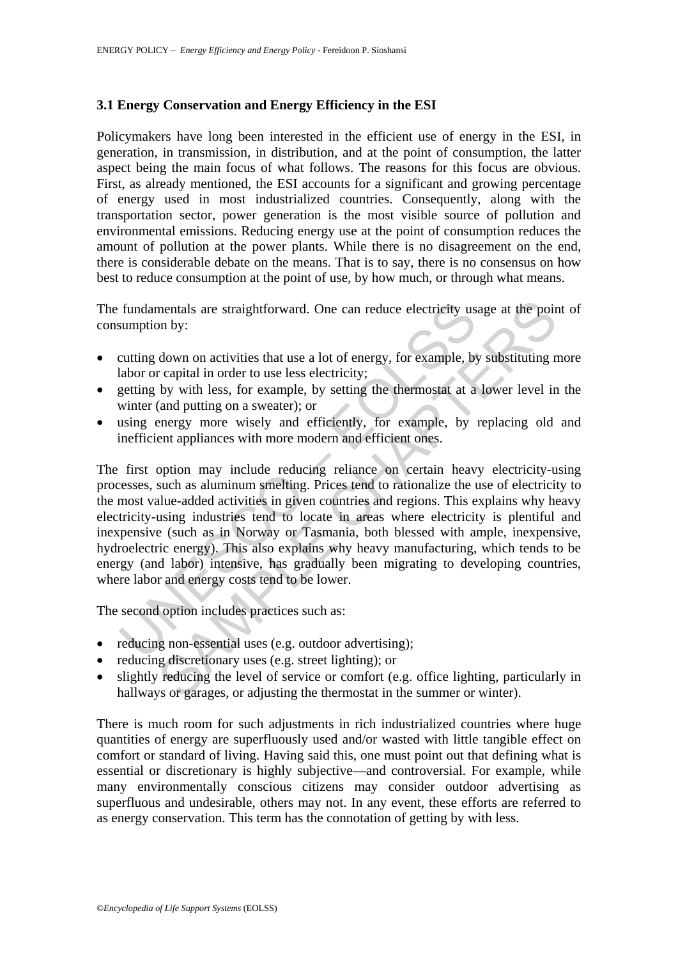## **3.1 Energy Conservation and Energy Efficiency in the ESI**

Policymakers have long been interested in the efficient use of energy in the ESI, in generation, in transmission, in distribution, and at the point of consumption, the latter aspect being the main focus of what follows. The reasons for this focus are obvious. First, as already mentioned, the ESI accounts for a significant and growing percentage of energy used in most industrialized countries. Consequently, along with the transportation sector, power generation is the most visible source of pollution and environmental emissions. Reducing energy use at the point of consumption reduces the amount of pollution at the power plants. While there is no disagreement on the end, there is considerable debate on the means. That is to say, there is no consensus on how best to reduce consumption at the point of use, by how much, or through what means.

The fundamentals are straightforward. One can reduce electricity usage at the point of consumption by:

- cutting down on activities that use a lot of energy, for example, by substituting more labor or capital in order to use less electricity;
- getting by with less, for example, by setting the thermostat at a lower level in the winter (and putting on a sweater); or
- using energy more wisely and efficiently, for example, by replacing old and inefficient appliances with more modern and efficient ones.

fundamentals are straightforward. One can reduce electricity us<br>sumption by:<br>teutting down on activities that use a lot of energy, for example, by<br>alabor or capital in order to use less electricity;<br>getting by with less, f mentals are straightforward. One can reduce electricity usage at the poin<br>on by:<br>down on activities that use a lot of energy, for example, by substituting n<br>capital in order to use less electricity;<br>by with less, for examp The first option may include reducing reliance on certain heavy electricity-using processes, such as aluminum smelting. Prices tend to rationalize the use of electricity to the most value-added activities in given countries and regions. This explains why heavy electricity-using industries tend to locate in areas where electricity is plentiful and inexpensive (such as in Norway or Tasmania, both blessed with ample, inexpensive, hydroelectric energy). This also explains why heavy manufacturing, which tends to be energy (and labor) intensive, has gradually been migrating to developing countries, where labor and energy costs tend to be lower.

The second option includes practices such as:

- reducing non-essential uses (e.g. outdoor advertising);
- reducing discretionary uses (e.g. street lighting); or
- slightly reducing the level of service or comfort (e.g. office lighting, particularly in hallways or garages, or adjusting the thermostat in the summer or winter).

There is much room for such adjustments in rich industrialized countries where huge quantities of energy are superfluously used and/or wasted with little tangible effect on comfort or standard of living. Having said this, one must point out that defining what is essential or discretionary is highly subjective—and controversial. For example, while many environmentally conscious citizens may consider outdoor advertising as superfluous and undesirable, others may not. In any event, these efforts are referred to as energy conservation. This term has the connotation of getting by with less.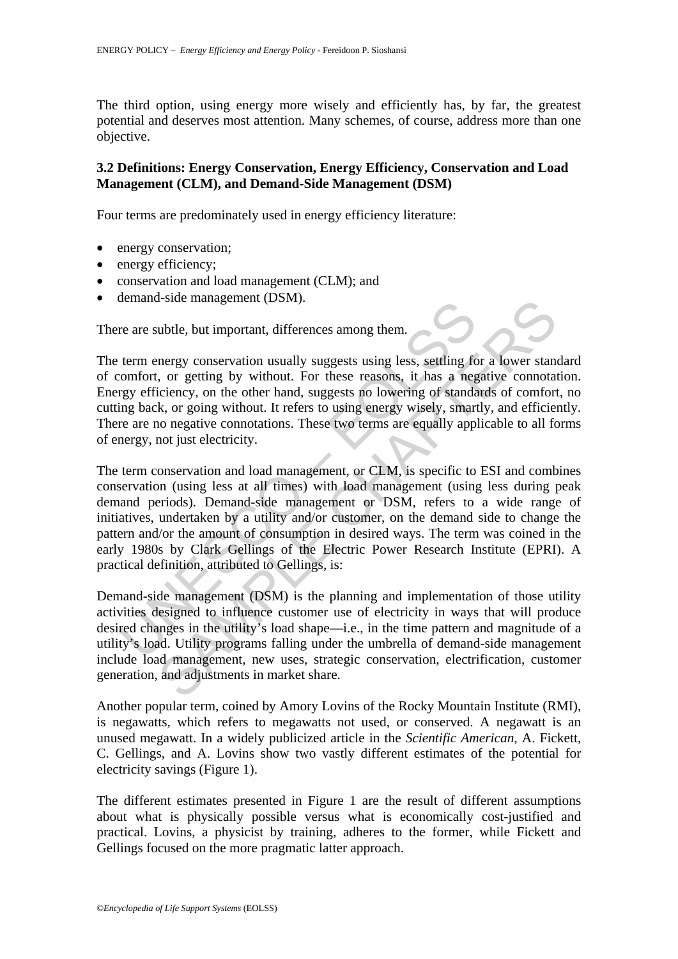The third option, using energy more wisely and efficiently has, by far, the greatest potential and deserves most attention. Many schemes, of course, address more than one objective.

### **3.2 Definitions: Energy Conservation, Energy Efficiency, Conservation and Load Management (CLM), and Demand-Side Management (DSM)**

Four terms are predominately used in energy efficiency literature:

- energy conservation;
- energy efficiency;
- conservation and load management (CLM); and
- demand-side management (DSM).

There are subtle, but important, differences among them.

The term energy conservation usually suggests using less, settling for a lower standard of comfort, or getting by without. For these reasons, it has a negative connotation. Energy efficiency, on the other hand, suggests no lowering of standards of comfort, no cutting back, or going without. It refers to using energy wisely, smartly, and efficiently. There are no negative connotations. These two terms are equally applicable to all forms of energy, not just electricity.

re are subtle, but important, differences among them.<br>
term energy conservation usually suggests using less, settling fo<br>
comfort, or getting by without. For these reasons, it has a neg<br>
rgy efficiency, on the other hand, Fisical management (DSN).<br>
Show management (DSN).<br>
Show the important, differences among them.<br>
The emergy conservation usually suggests using less, settling for a lower stan,<br>
or getting by without. For these reasons, it The term conservation and load management, or CLM, is specific to ESI and combines conservation (using less at all times) with load management (using less during peak demand periods). Demand-side management or DSM, refers to a wide range of initiatives, undertaken by a utility and/or customer, on the demand side to change the pattern and/or the amount of consumption in desired ways. The term was coined in the early 1980s by Clark Gellings of the Electric Power Research Institute (EPRI). A practical definition, attributed to Gellings, is:

Demand-side management (DSM) is the planning and implementation of those utility activities designed to influence customer use of electricity in ways that will produce desired changes in the utility's load shape—i.e., in the time pattern and magnitude of a utility's load. Utility programs falling under the umbrella of demand-side management include load management, new uses, strategic conservation, electrification, customer generation, and adjustments in market share.

Another popular term, coined by Amory Lovins of the Rocky Mountain Institute (RMI), is negawatts, which refers to megawatts not used, or conserved. A negawatt is an unused megawatt. In a widely publicized article in the *Scientific American*, A. Fickett, C. Gellings, and A. Lovins show two vastly different estimates of the potential for electricity savings (Figure 1).

The different estimates presented in Figure 1 are the result of different assumptions about what is physically possible versus what is economically cost-justified and practical. Lovins, a physicist by training, adheres to the former, while Fickett and Gellings focused on the more pragmatic latter approach.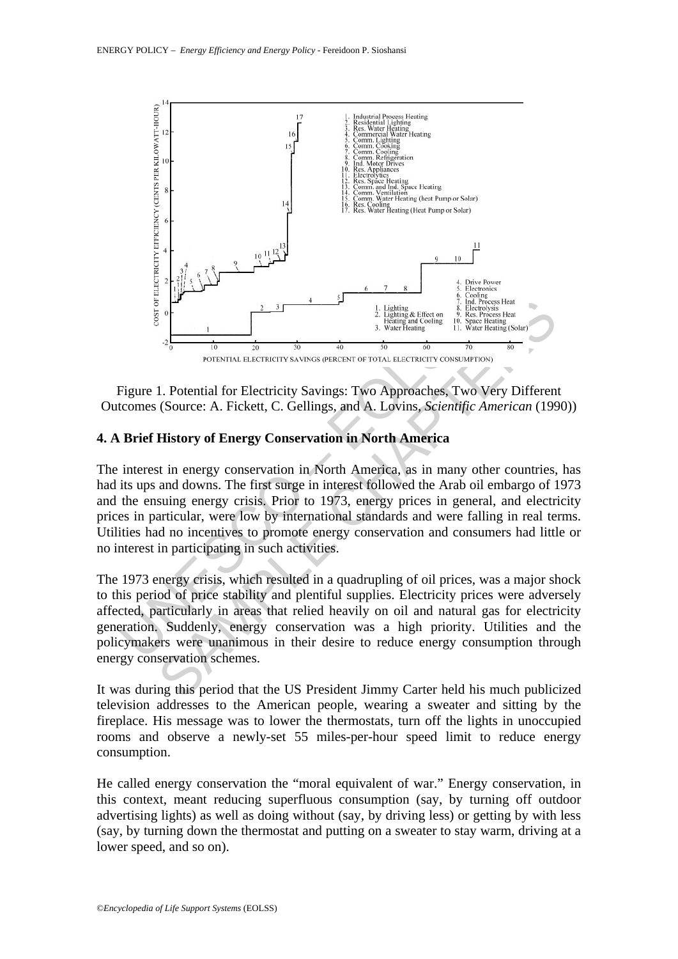

Figure 1. Potential for Electricity Savings: Two Approaches, Two Very Different Outcomes (Source: A. Fickett, C. Gellings, and A. Lovins, *Scientific American* (1990))

# **4. A Brief History of Energy Conservation in North America**

From the state of the state of the state of the state of the state of the state of the state of the state of the state of the state of the state of the state of the state of the state of the state of the state of the stat Between the counter of the same of the same of the same of the same of the same of the same of the same of the same of the same of the same of the same of the same of the same of the same of the same of the same of the sa The interest in energy conservation in North America, as in many other countries, has had its ups and downs. The first surge in interest followed the Arab oil embargo of 1973 and the ensuing energy crisis. Prior to 1973, energy prices in general, and electricity prices in particular, were low by international standards and were falling in real terms. Utilities had no incentives to promote energy conservation and consumers had little or no interest in participating in such activities.

The 1973 energy crisis, which resulted in a quadrupling of oil prices, was a major shock to this period of price stability and plentiful supplies. Electricity prices were adversely affected, particularly in areas that relied heavily on oil and natural gas for electricity generation. Suddenly, energy conservation was a high priority. Utilities and the policymakers were unanimous in their desire to reduce energy consumption through energy conservation schemes.

It was during this period that the US President Jimmy Carter held his much publicized television addresses to the American people, wearing a sweater and sitting by the fireplace. His message was to lower the thermostats, turn off the lights in unoccupied rooms and observe a newly-set 55 miles-per-hour speed limit to reduce energy consumption.

He called energy conservation the "moral equivalent of war." Energy conservation, in this context, meant reducing superfluous consumption (say, by turning off outdoor advertising lights) as well as doing without (say, by driving less) or getting by with less (say, by turning down the thermostat and putting on a sweater to stay warm, driving at a lower speed, and so on).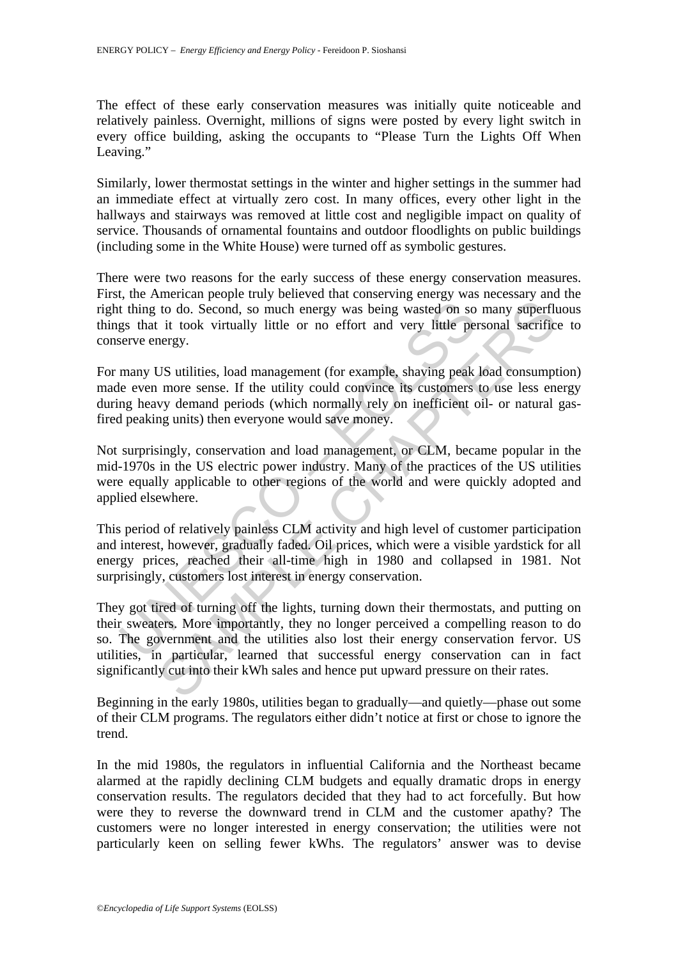The effect of these early conservation measures was initially quite noticeable and relatively painless. Overnight, millions of signs were posted by every light switch in every office building, asking the occupants to "Please Turn the Lights Off When Leaving."

Similarly, lower thermostat settings in the winter and higher settings in the summer had an immediate effect at virtually zero cost. In many offices, every other light in the hallways and stairways was removed at little cost and negligible impact on quality of service. Thousands of ornamental fountains and outdoor floodlights on public buildings (including some in the White House) were turned off as symbolic gestures.

There were two reasons for the early success of these energy conservation measures. First, the American people truly believed that conserving energy was necessary and the right thing to do. Second, so much energy was being wasted on so many superfluous things that it took virtually little or no effort and very little personal sacrifice to conserve energy.

For many US utilities, load management (for example, shaving peak load consumption) made even more sense. If the utility could convince its customers to use less energy during heavy demand periods (which normally rely on inefficient oil- or natural gasfired peaking units) then everyone would save money.

t thing to do. Second, so much energy was being wasted on so<br>gs that it took virtually little or no effort and very little per<br>serve energy.<br>many US utilities, load management (for example, shaving peak<br>he even more sense. Not surprisingly, conservation and load management, or CLM, became popular in the mid-1970s in the US electric power industry. Many of the practices of the US utilities were equally applicable to other regions of the world and were quickly adopted and applied elsewhere.

This period of relatively painless CLM activity and high level of customer participation and interest, however, gradually faded. Oil prices, which were a visible yardstick for all energy prices, reached their all-time high in 1980 and collapsed in 1981. Not surprisingly, customers lost interest in energy conservation.

to do. Second, so much energy was being wasted on so many superflucture to do. Second, so much energy was being wasted on so many superflucture in the virtually little or no effort and very little personal sacrificent in t They got tired of turning off the lights, turning down their thermostats, and putting on their sweaters. More importantly, they no longer perceived a compelling reason to do so. The government and the utilities also lost their energy conservation fervor. US utilities, in particular, learned that successful energy conservation can in fact significantly cut into their kWh sales and hence put upward pressure on their rates.

Beginning in the early 1980s, utilities began to gradually—and quietly—phase out some of their CLM programs. The regulators either didn't notice at first or chose to ignore the trend.

In the mid 1980s, the regulators in influential California and the Northeast became alarmed at the rapidly declining CLM budgets and equally dramatic drops in energy conservation results. The regulators decided that they had to act forcefully. But how were they to reverse the downward trend in CLM and the customer apathy? The customers were no longer interested in energy conservation; the utilities were not particularly keen on selling fewer kWhs. The regulators' answer was to devise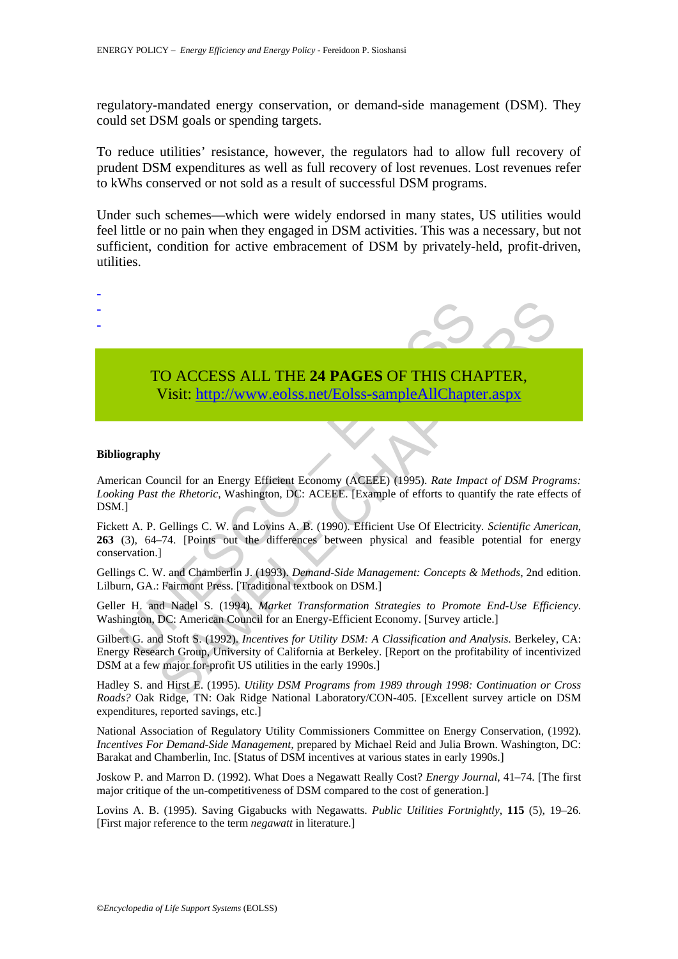regulatory-mandated energy conservation, or demand-side management (DSM). They could set DSM goals or spending targets.

To reduce utilities' resistance, however, the regulators had to allow full recovery of prudent DSM expenditures as well as full recovery of lost revenues. Lost revenues refer to kWhs conserved or not sold as a result of successful DSM programs.

Under such schemes—which were widely endorsed in many states, US utilities would feel little or no pain when they engaged in DSM activities. This was a necessary, but not sufficient, condition for active embracement of DSM by privately-held, profit-driven, utilities.

- -

-

# TO ACCESS ALL THE **24 PAGES** OF THIS CHAPTER, Visit: http://www.eolss.net/Eolss-sampleAllChapter.aspx

#### **Bibliography**

American Council for an Energy Efficient Economy (ACEEE) (1995). *Rate Impact of DSM Programs: Looking Past the Rhetoric*, Washington, DC: ACEEE. [Example of efforts to quantify the rate effects of DSM.]

TO ACCESS ALL THE 24 PAGES OF THIS CHA<br>Visit: http://www.eolss.net/Eolss-sampleAllChapto<br>iography<br>rican Council for an Energy Efficient Economy (ACEEE) (1995). Rate Impa<br>ing Past the Rhetoric, Washington, DC: ACEEE. [Examp SAMPLE CHA[PTE](https://www.eolss.net/ebooklib/sc_cart.aspx?File=E3-21-03-04)RS Fickett A. P. Gellings C. W. and Lovins A. B. (1990). Efficient Use Of Electricity*. Scientific American*, **263** (3), 64–74. [Points out the differences between physical and feasible potential for energy conservation.]

Gellings C. W. and Chamberlin J. (1993). *Demand-Side Management: Concepts & Methods*, 2nd edition. Lilburn, GA.: Fairmont Press. [Traditional textbook on DSM.]

Geller H. and Nadel S. (1994). *Market Transformation Strategies to Promote End-Use Efficiency*. Washington, DC: American Council for an Energy-Efficient Economy. [Survey article.]

Gilbert G. and Stoft S. (1992). *Incentives for Utility DSM: A Classification and Analysis*. Berkeley, CA: Energy Research Group, University of California at Berkeley. [Report on the profitability of incentivized DSM at a few major for-profit US utilities in the early 1990s.]

Hadley S. and Hirst E. (1995). *Utility DSM Programs from 1989 through 1998: Continuation or Cross Roads?* Oak Ridge, TN: Oak Ridge National Laboratory/CON-405. [Excellent survey article on DSM expenditures, reported savings, etc.]

National Association of Regulatory Utility Commissioners Committee on Energy Conservation, (1992). *Incentives For Demand-Side Management,* prepared by Michael Reid and Julia Brown. Washington, DC: Barakat and Chamberlin, Inc. [Status of DSM incentives at various states in early 1990s.]

Joskow P. and Marron D. (1992). What Does a Negawatt Really Cost? *Energy Journal*, 41–74. [The first major critique of the un-competitiveness of DSM compared to the cost of generation.]

Lovins A. B. (1995). Saving Gigabucks with Negawatts. *Public Utilities Fortnightly*, **115** (5), 19–26. [First major reference to the term *negawatt* in literature.]